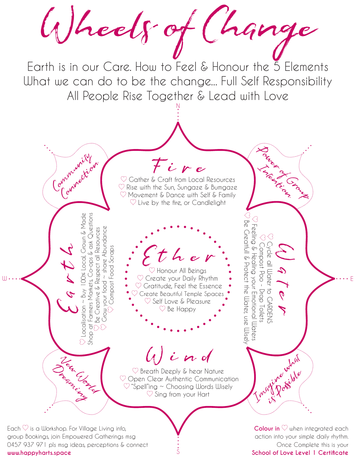Wheels of Change Earth is in our Care. How to Feel & Honour the 5 Elements What we can do to be the change... Full Self Responsibility All People Rise Together & Lead with Love N **Power Clays River Internet** 

 $\heartsuit$  Gather & Craft from Local Resources  $\heartsuit$  Rise with the Sun, Sungaze & Bumgaze  $\heartsuit$  Movement & Dance with Self & Family  $\heartsuit$  Live by the fire, or Candlelight

Ether<br>
S Honour All Beings

 $\heartsuit$  Gratitude, Feel the Essence Create Beautiful Temple Spaces  $\heartsuit$  Self Love & Pleasure  $\heartsuit$  Be Happy

Fire

 $\mathcal{E}$ arth Localisation ~ Buy 100% Local, Grown & Made Shop at Farmers Markets, Co-ops & ask Questions Be Creative & Respect all Resources Grow your food ~ share Abundance Compost Food Scraps  $\mathbb{U}$   $\cdots$   $\mathbb{C}$   $\beta$   $\beta$   $\beta$   $\beta$   $\beta$   $\vdots$   $\bullet$   $\heartsuit$  Create your Daily Rhythm  $\bullet$   $\beta$   $\gamma$   $\beta$   $\beta$   $\beta$ 

Community Connection

Wind

 $\heartsuit$  Breath Deeply & hear Nature  $\heartsuit$  Open Clear Authentic Communication  $\heartsuit$  "Spell"ing ~ Choosing Words Wisely  $\heartsuit$  Sing from your Hart

S

Each  $\heartsuit$  is a Workshop. For Village Living info, group Bookings, join Empowered Gatherings msg 0457 937 971 pls msg ideas, perceptions & connect **www.happyharts.space**

Tuen Canal

Dreaming Street

**Colour in**  $\heartsuit$  when integrated each action into your simple daily rhythm. Once Complete this is your **School of Love Level 1 Certificate**

 Compost Poo - Drop Toilets Cycle all Water to GARDENS

CARDENS

 $\Diamond$ 

 Feeling & Healing your Emotional Waters Be Greatfull & Protect the Water, use Wisely

 $\beta$ 

Water

Imagine what